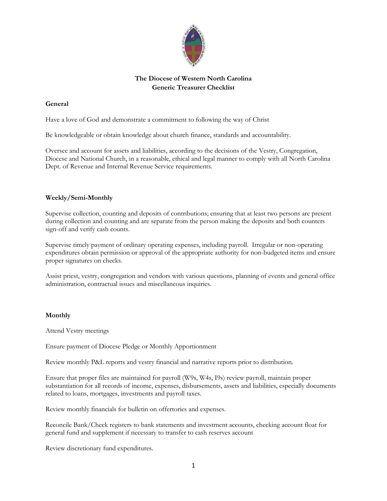

# **The Diocese of Western North Carolina Generic Treasurer Checklist**

# **General**

Have a love of God and demonstrate a commitment to following the way of Christ

Be knowledgeable or obtain knowledge about church finance, standards and accountability.

Oversee and account for assets and liabilities, according to the decisions of the Vestry, Congregation, Diocese and National Church, in a reasonable, ethical and legal manner to comply with all North Carolina Dept. of Revenue and Internal Revenue Service requirements.

## **Weekly/Semi-Monthly**

Supervise collection, counting and deposits of contributions; ensuring that at least two persons are present during collection and counting and are separate from the person making the deposits and both counters sign-off and verify cash counts.

Supervise timely payment of ordinary operating expenses, including payroll. Irregular or non-operating expenditures obtain permission or approval of the appropriate authority for non-budgeted items and ensure proper signatures on checks.

Assist priest, vestry, congregation and vendors with various questions, planning of events and general office administration, contractual issues and miscellaneous inquiries.

## **Monthly**

Attend Vestry meetings

Ensure payment of Diocese Pledge or Monthly Apportionment

Review monthly P&L reports and vestry financial and narrative reports prior to distribution.

Ensure that proper files are maintained for payroll (W9s, W4s, I9s) review payroll, maintain proper substantiation for all records of income, expenses, disbursements, assets and liabilities, especially documents related to loans, mortgages, investments and payroll taxes.

Review monthly financials for bulletin on offertories and expenses.

Reconcile Bank/Check registers to bank statements and investment accounts, checking account float for general fund and supplement if necessary to transfer to cash reserves account

Review discretionary fund expenditures.